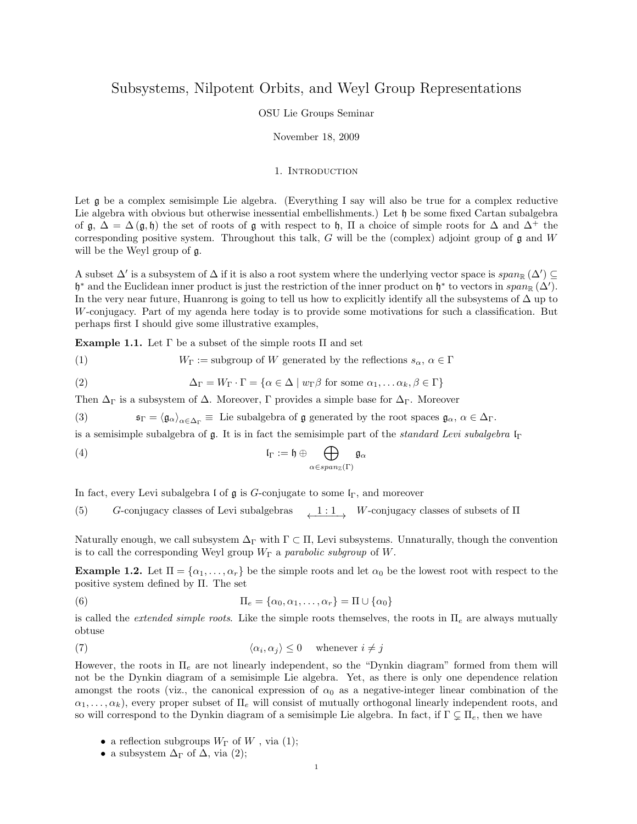# Subsystems, Nilpotent Orbits, and Weyl Group Representations

#### OSU Lie Groups Seminar

## November 18, 2009

## 1. INTRODUCTION

Let g be a complex semisimple Lie algebra. (Everything I say will also be true for a complex reductive Lie algebra with obvious but otherwise inessential embellishments.) Let  $\mathfrak h$  be some fixed Cartan subalgebra of  $\mathfrak{g}, \Delta = \Delta(\mathfrak{g}, \mathfrak{h})$  the set of roots of  $\mathfrak{g}$  with respect to  $\mathfrak{h}, \Pi$  a choice of simple roots for  $\Delta$  and  $\Delta^+$  the corresponding positive system. Throughout this talk, G will be the (complex) adjoint group of  $\mathfrak g$  and W will be the Weyl group of g.

A subset  $\Delta'$  is a subsystem of  $\Delta$  if it is also a root system where the underlying vector space is  $span_{\mathbb{R}}(\Delta') \subseteq$ h<sup>\*</sup> and the Euclidean inner product is just the restriction of the inner product on h<sup>\*</sup> to vectors in  $span_{\mathbb{R}}(\Delta')$ . In the very near future, Huanrong is going to tell us how to explicitly identify all the subsystems of ∆ up to W-conjugacy. Part of my agenda here today is to provide some motivations for such a classification. But perhaps first I should give some illustrative examples,

Example 1.1. Let  $\Gamma$  be a subset of the simple roots  $\Pi$  and set

(1)  $W_{\Gamma} := \text{subgroup of } W$  generated by the reflections  $s_{\alpha}, \alpha \in \Gamma$ 

(2) 
$$
\Delta_{\Gamma} = W_{\Gamma} \cdot \Gamma = \{ \alpha \in \Delta \mid w_{\Gamma} \beta \text{ for some } \alpha_1, \dots \alpha_k, \beta \in \Gamma \}
$$

Then  $\Delta_{\Gamma}$  is a subsystem of  $\Delta$ . Moreover, Γ provides a simple base for  $\Delta_{\Gamma}$ . Moreover

(3)  $\mathfrak{s}_{\Gamma} = \langle \mathfrak{g}_{\alpha} \rangle_{\alpha \in \Delta_{\Gamma}} \equiv \text{ Lie subalgebra of } \mathfrak{g} \text{ generated by the root spaces } \mathfrak{g}_{\alpha}, \alpha \in \Delta_{\Gamma}.$ 

is a semisimple subalgebra of  $\mathfrak g$ . It is in fact the semisimple part of the *standard Levi subalgebra*  $\mathfrak l_{\Gamma}$ 

(4) 
$$
\mathfrak{l}_{\Gamma} := \mathfrak{h} \oplus \bigoplus_{\alpha \in span_{\mathbb{Z}}(\Gamma)} \mathfrak{g}_{\alpha}
$$

In fact, every Levi subalgebra l of  $\mathfrak g$  is G-conjugate to some  $\mathfrak l_{\Gamma}$ , and moreover

(5) G-conjugacy classes of Levi subalgebras  $\frac{1 : 1}{\sqrt{1 : 1}}$  W-conjugacy classes of subsets of  $\Pi$ 

Naturally enough, we call subsystem  $\Delta_{\Gamma}$  with  $\Gamma \subset \Pi$ , Levi subsystems. Unnaturally, though the convention is to call the corresponding Weyl group  $W_{\Gamma}$  a parabolic subgroup of W.

**Example 1.2.** Let  $\Pi = {\alpha_1, \ldots, \alpha_r}$  be the simple roots and let  $\alpha_0$  be the lowest root with respect to the positive system defined by Π. The set

(6) 
$$
\Pi_e = \{ \alpha_0, \alpha_1, \dots, \alpha_r \} = \Pi \cup \{ \alpha_0 \}
$$

is called the *extended simple roots*. Like the simple roots themselves, the roots in  $\Pi_e$  are always mutually obtuse

(7) 
$$
\langle \alpha_i, \alpha_j \rangle \leq 0 \quad \text{whenever } i \neq j
$$

However, the roots in  $\Pi_e$  are not linearly independent, so the "Dynkin diagram" formed from them will not be the Dynkin diagram of a semisimple Lie algebra. Yet, as there is only one dependence relation amongst the roots (viz., the canonical expression of  $\alpha_0$  as a negative-integer linear combination of the  $\alpha_1, \ldots, \alpha_k$ , every proper subset of  $\Pi_e$  will consist of mutually orthogonal linearly independent roots, and so will correspond to the Dynkin diagram of a semisimple Lie algebra. In fact, if  $\Gamma \subsetneq \Pi_e$ , then we have

- a reflection subgroups  $W_{\Gamma}$  of  $W$ , via (1);
- a subsystem  $\Delta_{\Gamma}$  of  $\Delta$ , via (2);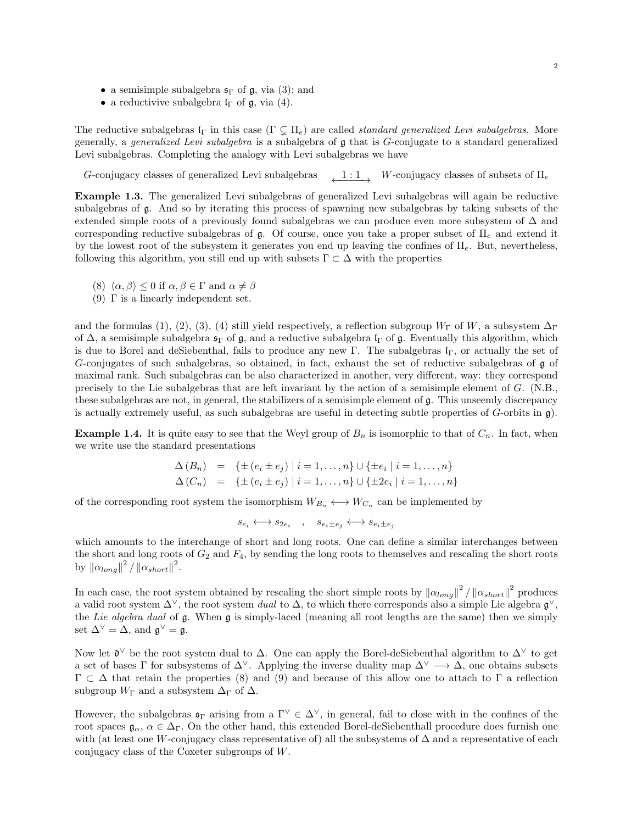- a semisimple subalgebra  $\mathfrak{s}_{\Gamma}$  of  $\mathfrak{g}$ , via (3); and
- a reductivive subalgebra  $I_{\Gamma}$  of  $\mathfrak{g}$ , via (4).

The reductive subalgebras  $\mathfrak{l}_{\Gamma}$  in this case  $(\Gamma \subsetneq \Pi_e)$  are called *standard generalized Levi subalgebras*. More generally, a generalized Levi subalgebra is a subalgebra of g that is G-conjugate to a standard generalized Levi subalgebras. Completing the analogy with Levi subalgebras we have

G-conjugacy classes of generalized Levi subalgebras  $1 : 1 \rightarrow W$ -conjugacy classes of subsets of  $\Pi_e$ 

Example 1.3. The generalized Levi subalgebras of generalized Levi subalgebras will again be reductive subalgebras of g. And so by iterating this process of spawning new subalgebras by taking subsets of the extended simple roots of a previously found subalgebras we can produce even more subsystem of ∆ and corresponding reductive subalgebras of  $\mathfrak{g}$ . Of course, once you take a proper subset of  $\Pi_e$  and extend it by the lowest root of the subsystem it generates you end up leaving the confines of  $\Pi_e$ . But, nevertheless, following this algorithm, you still end up with subsets  $\Gamma \subset \Delta$  with the properties

- (8)  $\langle \alpha, \beta \rangle \leq 0$  if  $\alpha, \beta \in \Gamma$  and  $\alpha \neq \beta$
- (9)  $\Gamma$  is a linearly independent set.

and the formulas (1), (2), (3), (4) still yield respectively, a reflection subgroup  $W_{\Gamma}$  of W, a subsystem  $\Delta_{\Gamma}$ of  $\Delta$ , a semisimple subalgebra  $\mathfrak{s}_{\Gamma}$  of  $\mathfrak{g}$ , and a reductive subalgebra  $\mathfrak{l}_{\Gamma}$  of  $\mathfrak{g}$ . Eventually this algorithm, which is due to Borel and deSiebenthal, fails to produce any new Γ. The subalgebras  $I<sub>Γ</sub>$ , or actually the set of G-conjugates of such subalgebras, so obtained, in fact, exhaust the set of reductive subalgebras of g of maximal rank. Such subalgebras can be also characterized in another, very different, way: they correspond precisely to the Lie subalgebras that are left invariant by the action of a semisimple element of G. (N.B., these subalgebras are not, in general, the stabilizers of a semisimple element of g. This unseemly discrepancy is actually extremely useful, as such subalgebras are useful in detecting subtle properties of  $G$ -orbits in  $\mathfrak{g}$ ).

**Example 1.4.** It is quite easy to see that the Weyl group of  $B_n$  is isomorphic to that of  $C_n$ . In fact, when we write use the standard presentations

$$
\Delta(B_n) = \{ \pm (e_i \pm e_j) \mid i = 1, ..., n \} \cup \{ \pm e_i \mid i = 1, ..., n \}
$$
  

$$
\Delta(C_n) = \{ \pm (e_i \pm e_j) \mid i = 1, ..., n \} \cup \{ \pm 2e_i \mid i = 1, ..., n \}
$$

of the corresponding root system the isomorphism  $W_{B_n} \longleftrightarrow W_{C_n}$  can be implemented by

 $s_{e_i} \longleftrightarrow s_{2e_i}$ ,  $s_{e_i \pm e_j} \longleftrightarrow s_{e_i \pm e_j}$ 

which amounts to the interchange of short and long roots. One can define a similar interchanges between the short and long roots of  $G_2$  and  $F_4$ , by sending the long roots to themselves and rescaling the short roots by  $\|\alpha_{long}\|^2 / \| \alpha_{short}\|^2$ .

In each case, the root system obtained by rescaling the short simple roots by  $\|\alpha_{long}\|^2 / \| \alpha_{short}\|^2$  produces a valid root system  $\Delta^{\vee}$ , the root system *dual* to  $\Delta$ , to which there corresponds also a simple Lie algebra  $\mathfrak{g}^{\vee}$ , the Lie algebra dual of g. When g is simply-laced (meaning all root lengths are the same) then we simply set  $\Delta^{\vee} = \Delta$ , and  $\mathfrak{g}^{\vee} = \mathfrak{g}$ .

Now let  $\mathfrak{d}^{\vee}$  be the root system dual to  $\Delta$ . One can apply the Borel-deSiebenthal algorithm to  $\Delta^{\vee}$  to get a set of bases Γ for subsystems of  $\Delta^{\vee}$ . Applying the inverse duality map  $\Delta^{\vee} \longrightarrow \Delta$ , one obtains subsets  $Γ ⊂ Δ that retain the properties (8) and (9) and because of this allow one to attach to Γ a reflection$ subgroup  $W_{\Gamma}$  and a subsystem  $\Delta_{\Gamma}$  of  $\Delta$ .

However, the subalgebras  $\mathfrak{s}_{\Gamma}$  arising from a  $\Gamma^{\vee} \in \Delta^{\vee}$ , in general, fail to close with in the confines of the root spaces  $\mathfrak{g}_{\alpha}$ ,  $\alpha \in \Delta_{\Gamma}$ . On the other hand, this extended Borel-deSiebenthall procedure does furnish one with (at least one W-conjugacy class representative of) all the subsystems of  $\Delta$  and a representative of each conjugacy class of the Coxeter subgroups of W.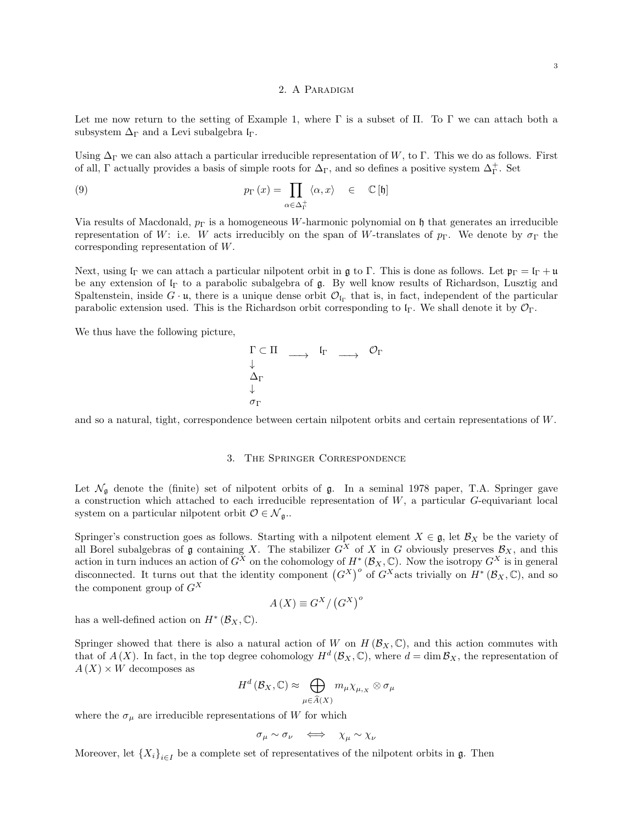#### 2. A Paradigm

Let me now return to the setting of Example 1, where  $\Gamma$  is a subset of  $\Pi$ . To  $\Gamma$  we can attach both a subsystem  $\Delta_{\Gamma}$  and a Levi subalgebra  $I_{\Gamma}$ .

Using  $\Delta_{\Gamma}$  we can also attach a particular irreducible representation of W, to  $\Gamma$ . This we do as follows. First of all, Γ actually provides a basis of simple roots for  $\Delta_{\Gamma}$ , and so defines a positive system  $\Delta_{\Gamma}^+$ . Set

(9) 
$$
p_{\Gamma}(x) = \prod_{\alpha \in \Delta_{\Gamma}^{+}} \langle \alpha, x \rangle \in \mathbb{C}[\mathfrak{h}]
$$

Via results of Macdonald,  $p_{\Gamma}$  is a homogeneous W-harmonic polynomial on h that generates an irreducible representation of W: i.e. W acts irreducibly on the span of W-translates of  $p_{\Gamma}$ . We denote by  $\sigma_{\Gamma}$  the corresponding representation of W.

Next, using  $\mathfrak{l}_{\Gamma}$  we can attach a particular nilpotent orbit in g to  $\Gamma$ . This is done as follows. Let  $\mathfrak{p}_{\Gamma} = \mathfrak{l}_{\Gamma} + \mathfrak{u}$ be any extension of  $I<sub>Γ</sub>$  to a parabolic subalgebra of  $\mathfrak{g}$ . By well know results of Richardson, Lusztig and Spaltenstein, inside  $G \cdot \mathfrak{u}$ , there is a unique dense orbit  $\mathcal{O}_{\mathfrak{l}_{\Gamma}}$  that is, in fact, independent of the particular parabolic extension used. This is the Richardson orbit corresponding to  $\mathfrak{l}_{\Gamma}$ . We shall denote it by  $\mathcal{O}_{\Gamma}$ .

We thus have the following picture,

$$
\begin{array}{ccc}\n\Gamma \subset \Pi & \longrightarrow & \mathfrak{l}_{\Gamma} & \longrightarrow & \mathcal{O}_{\Gamma} \\
\downarrow & & & & \\
\Delta_{\Gamma} & & & & \\
\downarrow & & & & \\
\sigma_{\Gamma} & & & & \n\end{array}
$$

and so a natural, tight, correspondence between certain nilpotent orbits and certain representations of W.

#### 3. The Springer Correspondence

Let  $\mathcal{N}_{\mathfrak{g}}$  denote the (finite) set of nilpotent orbits of  $\mathfrak{g}$ . In a seminal 1978 paper, T.A. Springer gave a construction which attached to each irreducible representation of W, a particular G-equivariant local system on a particular nilpotent orbit  $\mathcal{O} \in \mathcal{N}_{\mathfrak{g}}$ .

Springer's construction goes as follows. Starting with a nilpotent element  $X \in \mathfrak{g}$ , let  $\mathcal{B}_X$  be the variety of all Borel subalgebras of  $\mathfrak g$  containing X. The stabilizer  $G^X$  of X in G obviously preserves  $\mathcal B_X$ , and this action in turn induces an action of  $G^X$  on the cohomology of  $H^*(\mathcal{B}_X,\mathbb{C})$ . Now the isotropy  $G^X$  is in general disconnected. It turns out that the identity component  $(G^X)^\circ$  of  $G^X$  acts trivially on  $H^*(B_X, \mathbb{C})$ , and so the component group of  $G^X$ 

$$
A\left(X\right) \equiv G^X / \left(G^X\right)^o
$$

has a well-defined action on  $H^*(\mathcal{B}_X,\mathbb{C})$ .

Springer showed that there is also a natural action of W on  $H(\mathcal{B}_X,\mathbb{C})$ , and this action commutes with that of  $A(X)$ . In fact, in the top degree cohomology  $H^d(\mathcal{B}_X,\mathbb{C})$ , where  $d=\dim \mathcal{B}_X$ , the representation of  $A(X) \times W$  decomposes as

$$
H^{d}(\mathcal{B}_{X}, \mathbb{C}) \approx \bigoplus_{\mu \in \widehat{A}(X)} m_{\mu} \chi_{\mu, x} \otimes \sigma_{\mu}
$$

where the  $\sigma_{\mu}$  are irreducible representations of W for which

$$
\sigma_{\mu} \sim \sigma_{\nu} \quad \Longleftrightarrow \quad \chi_{\mu} \sim \chi_{\nu}
$$

Moreover, let  ${X_i}_{i\in I}$  be a complete set of representatives of the nilpotent orbits in  $\mathfrak{g}$ . Then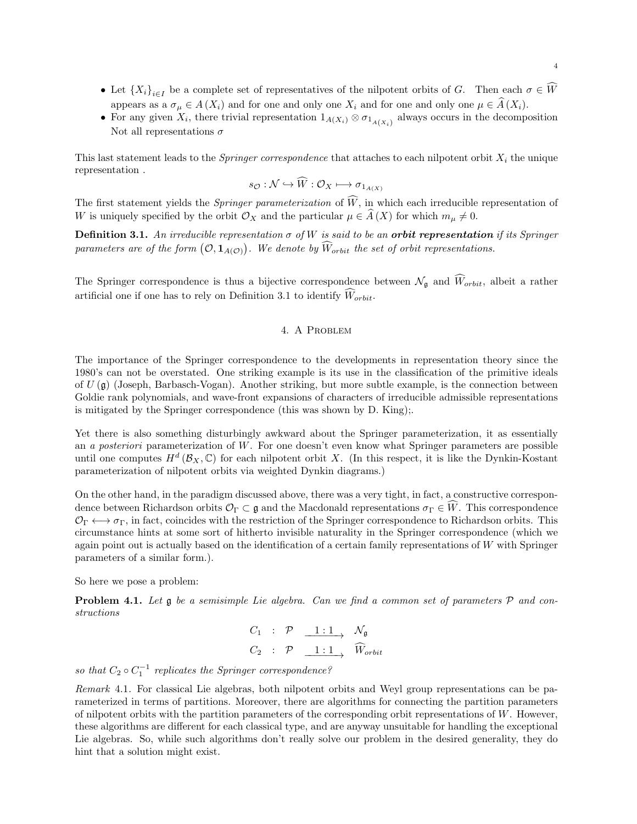- Let  ${X_i}_{i\in I}$  be a complete set of representatives of the nilpotent orbits of G. Then each  $\sigma \in W$ appears as a  $\sigma_{\mu} \in A(X_i)$  and for one and only one  $X_i$  and for one and only one  $\mu \in \hat{A}(X_i)$ .
- For any given  $X_i$ , there trivial representation  $1_{A(X_i)} \otimes \sigma_{1_{A(X_i)}}$  always occurs in the decomposition Not all representations  $\sigma$

This last statement leads to the *Springer correspondence* that attaches to each nilpotent orbit  $X_i$  the unique representation .

$$
s_{\mathcal{O}}: \mathcal{N} \hookrightarrow \widehat{W}: \mathcal{O}_X \longmapsto \sigma_{1_{A(X)}}
$$

The first statement yields the *Springer parameterization* of  $\widehat{W}$ , in which each irreducible representation of W is uniquely specified by the orbit  $\mathcal{O}_X$  and the particular  $\mu \in \widehat{A}(X)$  for which  $m_{\mu} \neq 0$ .

Definition 3.1. An irreducible representation  $\sigma$  of W is said to be an **orbit representation** if its Springer parameters are of the form  $(\mathcal{O}, \mathbf{1}_{A(\mathcal{O})})$ . We denote by  $\hat{W}_{orbit}$  the set of orbit representations.

The Springer correspondence is thus a bijective correspondence between  $\mathcal{N}_{g}$  and  $\widehat{W}_{orbit}$ , albeit a rather artificial one if one has to rely on Definition 3.1 to identify  $\widehat{W}_{orbit}$ .

## 4. A Problem

The importance of the Springer correspondence to the developments in representation theory since the 1980's can not be overstated. One striking example is its use in the classification of the primitive ideals of  $U(\mathfrak{g})$  (Joseph, Barbasch-Vogan). Another striking, but more subtle example, is the connection between Goldie rank polynomials, and wave-front expansions of characters of irreducible admissible representations is mitigated by the Springer correspondence (this was shown by D. King);.

Yet there is also something disturbingly awkward about the Springer parameterization, it as essentially an a posteriori parameterization of W. For one doesn't even know what Springer parameters are possible until one computes  $H^d(\mathcal{B}_X,\mathbb{C})$  for each nilpotent orbit X. (In this respect, it is like the Dynkin-Kostant parameterization of nilpotent orbits via weighted Dynkin diagrams.)

On the other hand, in the paradigm discussed above, there was a very tight, in fact, a constructive correspondence between Richardson orbits  $\mathcal{O}_{\Gamma} \subset \mathfrak{g}$  and the Macdonald representations  $\sigma_{\Gamma} \in \widehat{W}$ . This correspondence  $\mathcal{O}_{\Gamma} \longleftrightarrow \sigma_{\Gamma}$ , in fact, coincides with the restriction of the Springer correspondence to Richardson orbits. This circumstance hints at some sort of hitherto invisible naturality in the Springer correspondence (which we again point out is actually based on the identification of a certain family representations of  $W$  with Springer parameters of a similar form.).

So here we pose a problem:

**Problem 4.1.** Let  $\mathfrak g$  be a semisimple Lie algebra. Can we find a common set of parameters  $\mathcal P$  and constructions

$$
C_1 : \mathcal{P} \xrightarrow{1:1} \mathcal{N}_{\mathfrak{g}}
$$
  

$$
C_2 : \mathcal{P} \xrightarrow{1:1} \widehat{W}_{orbit}
$$

so that  $C_2 \circ C_1^{-1}$  replicates the Springer correspondence?

Remark 4.1. For classical Lie algebras, both nilpotent orbits and Weyl group representations can be parameterized in terms of partitions. Moreover, there are algorithms for connecting the partition parameters of nilpotent orbits with the partition parameters of the corresponding orbit representations of W. However, these algorithms are different for each classical type, and are anyway unsuitable for handling the exceptional Lie algebras. So, while such algorithms don't really solve our problem in the desired generality, they do hint that a solution might exist.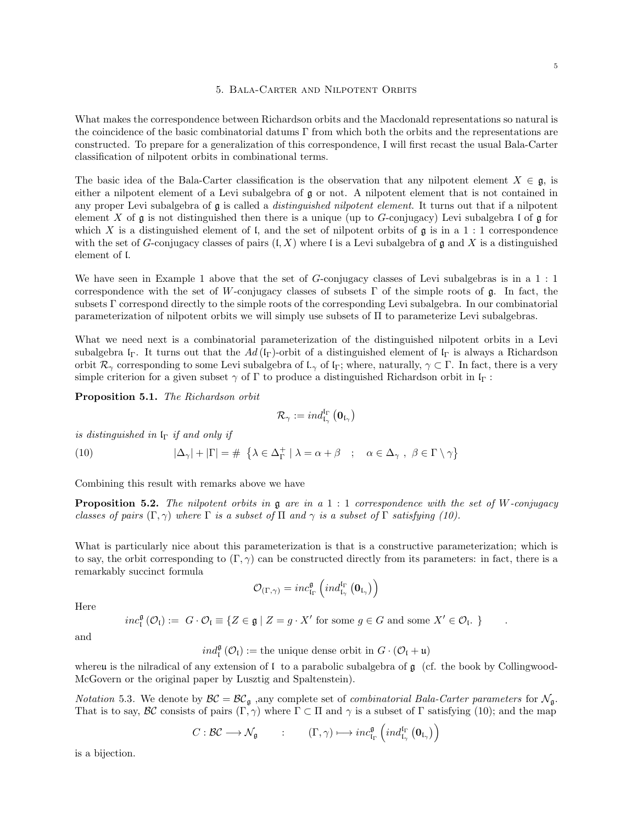#### 5. Bala-Carter and Nilpotent Orbits

What makes the correspondence between Richardson orbits and the Macdonald representations so natural is the coincidence of the basic combinatorial datums  $\Gamma$  from which both the orbits and the representations are constructed. To prepare for a generalization of this correspondence, I will first recast the usual Bala-Carter classification of nilpotent orbits in combinational terms.

The basic idea of the Bala-Carter classification is the observation that any nilpotent element  $X \in \mathfrak{g}$ , is either a nilpotent element of a Levi subalgebra of g or not. A nilpotent element that is not contained in any proper Levi subalgebra of  $\mathfrak g$  is called a *distinguished nilpotent element*. It turns out that if a nilpotent element X of  $\mathfrak g$  is not distinguished then there is a unique (up to G-conjugacy) Levi subalgebra l of  $\mathfrak g$  for which X is a distinguished element of l, and the set of nilpotent orbits of  $\mathfrak g$  is in a 1 : 1 correspondence with the set of G-conjugacy classes of pairs  $(I, X)$  where I is a Levi subalgebra of g and X is a distinguished element of l.

We have seen in Example 1 above that the set of G-conjugacy classes of Levi subalgebras is in a 1 : 1 correspondence with the set of W-conjugacy classes of subsets  $\Gamma$  of the simple roots of  $\mathfrak{g}$ . In fact, the subsets Γ correspond directly to the simple roots of the corresponding Levi subalgebra. In our combinatorial parameterization of nilpotent orbits we will simply use subsets of Π to parameterize Levi subalgebras.

What we need next is a combinatorial parameterization of the distinguished nilpotent orbits in a Levi subalgebra l<sub>Γ</sub>. It turns out that the Ad (l<sub>Γ</sub>)-orbit of a distinguished element of l<sub>Γ</sub> is always a Richardson orbit  $\mathcal{R}_{\gamma}$  corresponding to some Levi subalgebra of  $\mathfrak{l}_{\gamma}$  of  $\mathfrak{l}_{\Gamma}$ ; where, naturally,  $\gamma \subset \Gamma$ . In fact, there is a very simple criterion for a given subset  $\gamma$  of  $\Gamma$  to produce a distinguished Richardson orbit in  $\mathfrak{l}_{\Gamma}$ :

Proposition 5.1. The Richardson orbit

$$
\mathcal{R}_{\gamma}:=ind_{\mathfrak{l}_{\gamma}}^{\mathfrak{l}_{\Gamma}}\left(\mathbf{0}_{\mathfrak{l}_{\gamma}}\right)
$$

is distinguished in  $I_{\Gamma}$  if and only if

(10) 
$$
|\Delta_{\gamma}| + |\Gamma| = \# \{ \lambda \in \Delta_{\Gamma}^+ \mid \lambda = \alpha + \beta \ ; \ \alpha \in \Delta_{\gamma} , \ \beta \in \Gamma \setminus \gamma \}
$$

Combining this result with remarks above we have

**Proposition 5.2.** The nilpotent orbits in  $\mathfrak g$  are in a 1 : 1 correspondence with the set of W-conjugacy classes of pairs  $(\Gamma, \gamma)$  where  $\Gamma$  is a subset of  $\Pi$  and  $\gamma$  is a subset of  $\Gamma$  satisfying (10).

What is particularly nice about this parameterization is that is a constructive parameterization; which is to say, the orbit corresponding to  $(\Gamma, \gamma)$  can be constructed directly from its parameters: in fact, there is a remarkably succinct formula

$$
\mathcal{O}_{(\Gamma,\gamma)}=inc_{\mathfrak{l}_\Gamma}^{\mathfrak{g}}\left( ind_{\mathfrak{l}_\gamma}^{\mathfrak{l}_\Gamma}\left(\mathbf{0}_{\mathfrak{l}_\gamma}\right)\right)
$$

Here

$$
inc_i^{\mathfrak{g}}(\mathcal{O}_i) := G \cdot \mathcal{O}_i \equiv \{ Z \in \mathfrak{g} \mid Z = g \cdot X' \text{ for some } g \in G \text{ and some } X' \in \mathcal{O}_i. \}
$$

and

$$
\mathit{ind}_\mathfrak{l}^\mathfrak{g}\left( \mathcal{O}_\mathfrak{l} \right) := \text{the unique dense orbit in } G \cdot \left( \mathcal{O}_\mathfrak{l} + \mathfrak{u} \right)
$$

whereu is the nilradical of any extension of  $\mathfrak l$  to a parabolic subalgebra of  $\mathfrak g$  (cf. the book by Collingwood-McGovern or the original paper by Lusztig and Spaltenstein).

*Notation* 5.3. We denote by  $\mathcal{BC} = \mathcal{BC}_{\mathfrak{g}}$ , any complete set of *combinatorial Bala-Carter parameters* for  $\mathcal{N}_{\mathfrak{g}}$ . That is to say, BC consists of pairs  $(\Gamma, \gamma)$  where  $\Gamma \subset \Pi$  and  $\gamma$  is a subset of  $\Gamma$  satisfying (10); and the map

$$
C: \mathcal{BC} \longrightarrow \mathcal{N}_{\mathfrak{g}} \qquad : \qquad (\Gamma, \gamma) \longmapsto inc_{\mathfrak{l}_\Gamma}^{\mathfrak{g}} \left( ind_{\mathfrak{l}_{\gamma}}^{\mathfrak{l}_{\Gamma}} \left( \mathfrak{0}_{\mathfrak{l}_{\gamma}} \right) \right)
$$

is a bijection.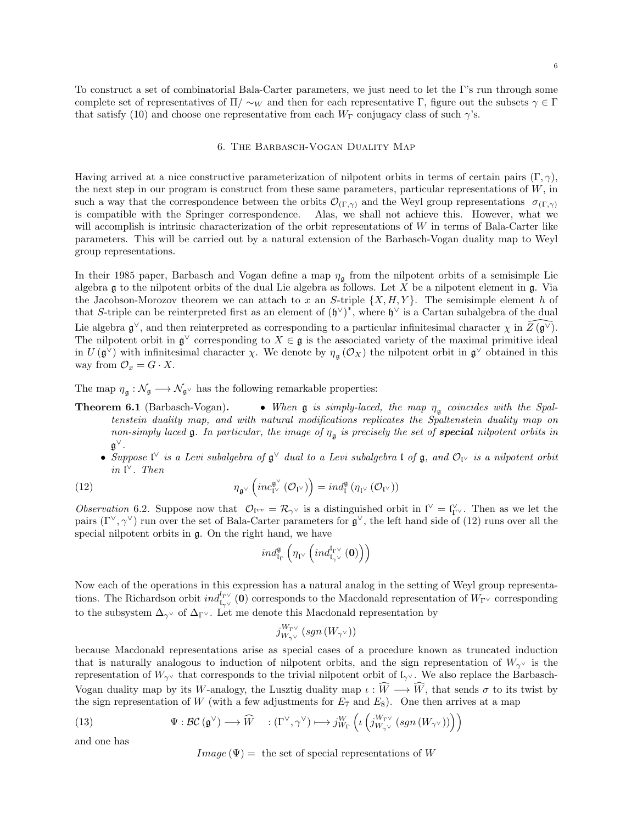To construct a set of combinatorial Bala-Carter parameters, we just need to let the Γ's run through some complete set of representatives of  $\Pi/\sim_W$  and then for each representative Γ, figure out the subsets  $\gamma \in \Gamma$ that satisfy (10) and choose one representative from each  $W_{\Gamma}$  conjugacy class of such  $\gamma$ 's.

#### 6. The Barbasch-Vogan Duality Map

Having arrived at a nice constructive parameterization of nilpotent orbits in terms of certain pairs  $(\Gamma, \gamma)$ , the next step in our program is construct from these same parameters, particular representations of  $W$ , in such a way that the correspondence between the orbits  $\mathcal{O}_{(\Gamma,\gamma)}$  and the Weyl group representations  $\sigma_{(\Gamma,\gamma)}$ is compatible with the Springer correspondence. Alas, we shall not achieve this. However, what we will accomplish is intrinsic characterization of the orbit representations of W in terms of Bala-Carter like parameters. This will be carried out by a natural extension of the Barbasch-Vogan duality map to Weyl group representations.

In their 1985 paper, Barbasch and Vogan define a map  $\eta_{\mathfrak{g}}$  from the nilpotent orbits of a semisimple Lie algebra  $\frak g$  to the nilpotent orbits of the dual Lie algebra as follows. Let X be a nilpotent element in  $\frak g$ . Via the Jacobson-Morozov theorem we can attach to x an S-triple  $\{X, H, Y\}$ . The semisimple element h of that S-triple can be reinterpreted first as an element of  $(\mathfrak{h}^{\vee})^*$ , where  $\mathfrak{h}^{\vee}$  is a Cartan subalgebra of the dual Lie algebra  $\mathfrak{g}^{\vee}$ , and then reinterpreted as corresponding to a particular infinitesimal character  $\chi$  in  $\widehat{Z(\mathfrak{g}^{\vee})}$ . The nilpotent orbit in  $\mathfrak{g}^{\vee}$  corresponding to  $X \in \mathfrak{g}$  is the associated variety of the maximal primitive ideal in  $U(\mathfrak{g}^{\vee})$  with infinitesimal character  $\chi$ . We denote by  $\eta_{\mathfrak{g}}(\mathcal{O}_X)$  the nilpotent orbit in  $\mathfrak{g}^{\vee}$  obtained in this way from  $\mathcal{O}_x = G \cdot X$ .

The map  $\eta_{\mathfrak{g}}: \mathcal{N}_{\mathfrak{g}} \longrightarrow \mathcal{N}_{\mathfrak{g}^\vee}$  has the following remarkable properties:

- **Theorem 6.1** (Barbasch-Vogan). When  $\mathfrak{g}$  is simply-laced, the map  $\eta_{\mathfrak{g}}$  coincides with the Spaltenstein duality map, and with natural modifications replicates the Spaltenstein duality map on non-simply laced  $\mathfrak g$ . In particular, the image of  $\eta_{\mathfrak g}$  is precisely the set of **special** nilpotent orbits in g ∨.
	- Suppose  $\mathfrak{t}^\vee$  is a Levi subalgebra of  $\mathfrak{g}^\vee$  dual to a Levi subalgebra  $\mathfrak{l}$  of  $\mathfrak{g}$ , and  $\mathcal{O}_{\mathfrak{l}^\vee}$  is a nilpotent orbit in  $\mathfrak l^\vee$ . Then

(12) 
$$
\eta_{\mathfrak{g}^\vee}\left(inc_{\mathfrak{l}^\vee}^{\mathfrak{g}^\vee}(\mathcal{O}_{\mathfrak{l}^\vee})\right)=ind_{\mathfrak{l}}^{\mathfrak{g}}\left(\eta_{\mathfrak{l}^\vee}(\mathcal{O}_{\mathfrak{l}^\vee})\right)
$$

Observation 6.2. Suppose now that  $\mathcal{O}_{\mathfrak{f}^{vv}} = \mathcal{R}_{\gamma^{\vee}}$  is a distinguished orbit in  $\mathfrak{f}^{\vee} = \mathfrak{f}^{\vee}_{\Gamma^{\vee}}$ . Then as we let the pairs  $(\Gamma^\vee, \gamma^\vee)$  run over the set of Bala-Carter parameters for  $\mathfrak{g}^\vee$ , the left hand side of (12) runs over all the special nilpotent orbits in g. On the right hand, we have

$$
ind_{\mathrm{I}_{\Gamma}}^{\mathfrak{g}}\left(\eta_{\mathfrak{l}^\vee}\left( ind_{\mathrm{I}_{\gamma^\vee}}^{\mathrm{I}_{\Gamma^\vee}}\left(\mathbf{0}\right)\right)\right)
$$

Now each of the operations in this expression has a natural analog in the setting of Weyl group representations. The Richardson orbit  $ind_{\mathfrak{l}_{\gamma} \vee}^{l_{\Gamma} \vee}(\mathbf{0})$  corresponds to the Macdonald representation of  $W_{\Gamma} \vee$  corresponding to the subsystem  $\Delta_{\gamma}$  of  $\Delta_{\Gamma}$  . Let me denote this Macdonald representation by

$$
j^{W_{\Gamma^\vee}}_{W_{\gamma^\vee}}\left(\text{sgn}\left(W_{\gamma^\vee}\right)\right)
$$

because Macdonald representations arise as special cases of a procedure known as truncated induction that is naturally analogous to induction of nilpotent orbits, and the sign representation of  $W_{\gamma}$  is the representation of  $W_{\gamma}$  that corresponds to the trivial nilpotent orbit of  $\mathfrak{L}_{\gamma}$ . We also replace the Barbasch-Vogan duality map by its W-analogy, the Lusztig duality map  $\iota : \widehat{W} \longrightarrow \widehat{W}$ , that sends  $\sigma$  to its twist by the sign representation of W (with a few adjustments for  $E_7$  and  $E_8$ ). One then arrives at a map

(13) 
$$
\Psi : \mathcal{BC}(\mathfrak{g}^{\vee}) \longrightarrow \widehat{W} \quad : (\Gamma^{\vee}, \gamma^{\vee}) \longmapsto j_{W_{\Gamma}}^W \left( \iota \left( j_{W_{\gamma^{\vee}}}^{W_{\Gamma^{\vee}}} (sgn \left( W_{\gamma^{\vee}} \right)) \right) \right)
$$

and one has

$$
Image(\Psi) = \text{ the set of special representations of } W
$$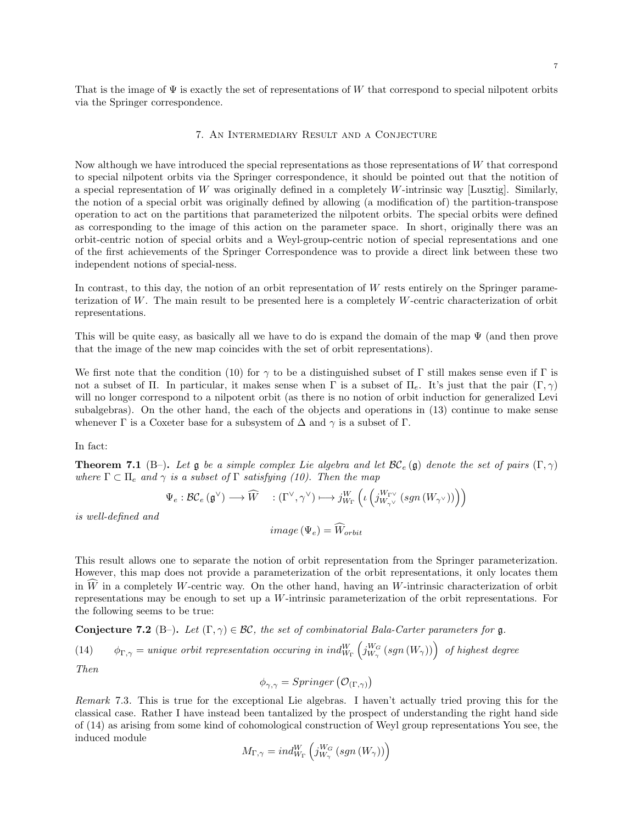That is the image of  $\Psi$  is exactly the set of representations of W that correspond to special nilpotent orbits via the Springer correspondence.

## 7. An Intermediary Result and a Conjecture

Now although we have introduced the special representations as those representations of  $W$  that correspond to special nilpotent orbits via the Springer correspondence, it should be pointed out that the notition of a special representation of  $W$  was originally defined in a completely  $W$ -intrinsic way [Lusztig]. Similarly, the notion of a special orbit was originally defined by allowing (a modification of) the partition-transpose operation to act on the partitions that parameterized the nilpotent orbits. The special orbits were defined as corresponding to the image of this action on the parameter space. In short, originally there was an orbit-centric notion of special orbits and a Weyl-group-centric notion of special representations and one of the first achievements of the Springer Correspondence was to provide a direct link between these two independent notions of special-ness.

In contrast, to this day, the notion of an orbit representation of W rests entirely on the Springer parameterization of W. The main result to be presented here is a completely W-centric characterization of orbit representations.

This will be quite easy, as basically all we have to do is expand the domain of the map  $\Psi$  (and then prove that the image of the new map coincides with the set of orbit representations).

We first note that the condition (10) for  $\gamma$  to be a distinguished subset of Γ still makes sense even if Γ is not a subset of Π. In particular, it makes sense when Γ is a subset of  $\Pi_e$ . It's just that the pair  $(Γ, γ)$ will no longer correspond to a nilpotent orbit (as there is no notion of orbit induction for generalized Levi subalgebras). On the other hand, the each of the objects and operations in (13) continue to make sense whenever  $\Gamma$  is a Coxeter base for a subsystem of  $\Delta$  and  $\gamma$  is a subset of  $\Gamma$ .

In fact:

**Theorem 7.1** (B–). Let g be a simple complex Lie algebra and let  $\mathcal{BC}_e$  (g) denote the set of pairs  $(\Gamma, \gamma)$ where  $\Gamma \subset \Pi_e$  and  $\gamma$  is a subset of  $\Gamma$  satisfying (10). Then the map

$$
\Psi_e: \mathcal{BC}_e(\mathfrak{g}^\vee) \longrightarrow \widehat{W} \quad : (\Gamma^\vee, \gamma^\vee) \longmapsto j^W_{W_\Gamma}\left(\iota\left(j^{W_{\Gamma^\vee}}_{W_{\gamma^\vee}}\left(sgn\left(W_{\gamma^\vee}\right)\right)\right)\right)
$$

is well-defined and

$$
image\left(\Psi_e\right) = W_{orbit}
$$

This result allows one to separate the notion of orbit representation from the Springer parameterization. However, this map does not provide a parameterization of the orbit representations, it only locates them in  $W$  in a completely W-centric way. On the other hand, having an W-intrinsic characterization of orbit representations may be enough to set up a W-intrinsic parameterization of the orbit representations. For the following seems to be true:

Conjecture 7.2 (B–). Let  $(\Gamma, \gamma) \in \mathcal{BC}$ , the set of combinatorial Bala-Carter parameters for g.

(14)  $\phi_{\Gamma,\gamma} =$  unique orbit representation occuring in ind $_{W_\Gamma}^W \left( j_{W_\gamma}^{W_G} \left( sgn\left( W_\gamma \right) \right) \right)$  of highest degree

Then

$$
\phi_{\gamma,\gamma} = Springer\left(\mathcal{O}_{(\Gamma,\gamma)}\right)
$$

Remark 7.3. This is true for the exceptional Lie algebras. I haven't actually tried proving this for the classical case. Rather I have instead been tantalized by the prospect of understanding the right hand side of (14) as arising from some kind of cohomological construction of Weyl group representations You see, the induced module

$$
M_{\Gamma,\gamma}=ind_{W_{\Gamma}}^{W}\left( j_{W_{\gamma}}^{W_{G}}\left( sgn\left( W_{\gamma}\right) \right) \right)
$$